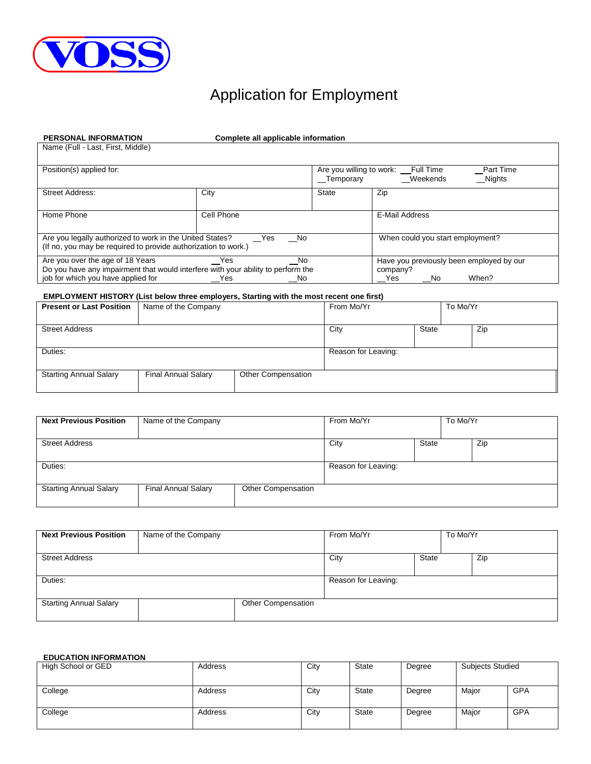

# Application for Employment

| <b>PERSONAL INFORMATION</b>                                                      | Complete all applicable information |              |                                                 |
|----------------------------------------------------------------------------------|-------------------------------------|--------------|-------------------------------------------------|
| Name (Full - Last, First, Middle)                                                |                                     |              |                                                 |
|                                                                                  |                                     |              |                                                 |
| Position(s) applied for:                                                         |                                     |              | Part Time<br>Are you willing to work: Full Time |
|                                                                                  |                                     | Temporary    | Weekends<br>Nights                              |
| <b>Street Address:</b>                                                           | City                                | <b>State</b> | Zip                                             |
|                                                                                  |                                     |              |                                                 |
| Home Phone                                                                       | Cell Phone                          |              | E-Mail Address                                  |
|                                                                                  |                                     |              |                                                 |
| Are you legally authorized to work in the United States?                         | Yes<br>No.                          |              | When could you start employment?                |
| (If no, you may be required to provide authorization to work.)                   |                                     |              |                                                 |
| Are you over the age of 18 Years                                                 | Yes.<br>No                          |              | Have you previously been employed by our        |
| Do you have any impairment that would interfere with your ability to perform the |                                     |              | company?                                        |
| job for which you have applied for                                               | Yes<br>No                           |              | When?<br>Yes.<br>No                             |

### **EMPLOYMENT HISTORY (List below three employers, Starting with the most recent one first)**

| <b>Present or Last Position</b> | Name of the Company        |                           | From Mo/Yr          |              | To Mo/Yr |     |
|---------------------------------|----------------------------|---------------------------|---------------------|--------------|----------|-----|
| <b>Street Address</b>           |                            |                           | City                | <b>State</b> |          | Zip |
| Duties:                         |                            |                           | Reason for Leaving: |              |          |     |
| <b>Starting Annual Salary</b>   | <b>Final Annual Salary</b> | <b>Other Compensation</b> |                     |              |          |     |

| <b>Next Previous Position</b> | Name of the Company        |                           | From Mo/Yr          |              | To Mo/Yr |     |
|-------------------------------|----------------------------|---------------------------|---------------------|--------------|----------|-----|
| <b>Street Address</b>         |                            |                           | City                | <b>State</b> |          | Zip |
| Duties:                       |                            |                           | Reason for Leaving: |              |          |     |
| <b>Starting Annual Salary</b> | <b>Final Annual Salary</b> | <b>Other Compensation</b> |                     |              |          |     |

| <b>Next Previous Position</b> | Name of the Company |                    | From Mo/Yr          |              | To Mo/Yr |     |
|-------------------------------|---------------------|--------------------|---------------------|--------------|----------|-----|
| <b>Street Address</b>         |                     |                    | City                | <b>State</b> |          | Zip |
| Duties:                       |                     |                    | Reason for Leaving: |              |          |     |
| <b>Starting Annual Salary</b> |                     | Other Compensation |                     |              |          |     |

## **EDUCATION INFORMATION**

| High School or GED | Address | City | State | Degree | <b>Subjects Studied</b> |            |
|--------------------|---------|------|-------|--------|-------------------------|------------|
|                    |         |      |       |        |                         |            |
| College            | Address | City | State | Degree | Major                   | <b>GPA</b> |
|                    |         |      |       |        |                         |            |
| College            | Address | City | State | Degree | Major                   | <b>GPA</b> |
|                    |         |      |       |        |                         |            |